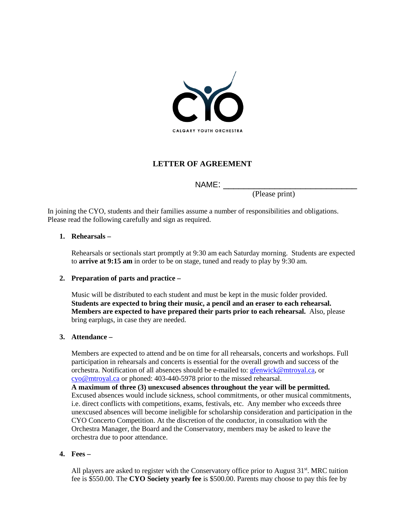

# **LETTER OF AGREEMENT**

NAME: \_\_\_\_\_\_\_\_\_\_\_\_\_\_\_\_\_\_\_\_\_\_\_\_\_\_

(Please print)

In joining the CYO, students and their families assume a number of responsibilities and obligations. Please read the following carefully and sign as required.

#### **1. Rehearsals –**

Rehearsals or sectionals start promptly at 9:30 am each Saturday morning. Students are expected to **arrive at 9:15 am** in order to be on stage, tuned and ready to play by 9:30 am.

#### **2. Preparation of parts and practice –**

Music will be distributed to each student and must be kept in the music folder provided. **Students are expected to bring their music, a pencil and an eraser to each rehearsal. Members are expected to have prepared their parts prior to each rehearsal.** Also, please bring earplugs, in case they are needed.

#### **3. Attendance –**

Members are expected to attend and be on time for all rehearsals, concerts and workshops. Full participation in rehearsals and concerts is essential for the overall growth and success of the orchestra. Notification of all absences should be e-mailed to: [gfenwick@mtroyal.ca,](mailto:gfenwick@mtroyal.ca) or [cyo@mtroyal.ca](mailto:cyo@mtroyal.ca) or phoned: 403-440-5978 prior to the missed rehearsal.

**A maximum of three (3) unexcused absences throughout the year will be permitted.** Excused absences would include sickness, school commitments, or other musical commitments, i.e. direct conflicts with competitions, exams, festivals, etc. Any member who exceeds three unexcused absences will become ineligible for scholarship consideration and participation in the CYO Concerto Competition. At the discretion of the conductor, in consultation with the Orchestra Manager, the Board and the Conservatory, members may be asked to leave the orchestra due to poor attendance.

#### **4. Fees –**

All players are asked to register with the Conservatory office prior to August  $31<sup>st</sup>$ . MRC tuition fee is \$550.00. The **CYO Society yearly fee** is \$500.00. Parents may choose to pay this fee by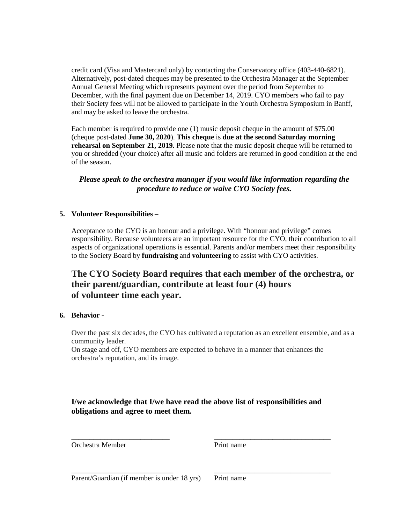credit card (Visa and Mastercard only) by contacting the Conservatory office (403-440-6821). Alternatively, post-dated cheques may be presented to the Orchestra Manager at the September Annual General Meeting which represents payment over the period from September to December, with the final payment due on December 14, 2019. CYO members who fail to pay their Society fees will not be allowed to participate in the Youth Orchestra Symposium in Banff, and may be asked to leave the orchestra.

Each member is required to provide one (1) music deposit cheque in the amount of \$75.00 (cheque post-dated **June 30, 2020**). **This cheque** is **due at the second Saturday morning rehearsal on September 21, 2019.** Please note that the music deposit cheque will be returned to you or shredded (your choice) after all music and folders are returned in good condition at the end of the season.

# *Please speak to the orchestra manager if you would like information regarding the procedure to reduce or waive CYO Society fees.*

#### **5. Volunteer Responsibilities –**

Acceptance to the CYO is an honour and a privilege. With "honour and privilege" comes responsibility. Because volunteers are an important resource for the CYO, their contribution to all aspects of organizational operations is essential. Parents and/or members meet their responsibility to the Society Board by **fundraising** and **volunteering** to assist with CYO activities.

# **The CYO Society Board requires that each member of the orchestra, or their parent/guardian, contribute at least four (4) hours of volunteer time each year.**

#### **6. Behavior -**

Over the past six decades, the CYO has cultivated a reputation as an excellent ensemble, and as a community leader.

On stage and off, CYO members are expected to behave in a manner that enhances the orchestra's reputation, and its image.

# **I/we acknowledge that I/we have read the above list of responsibilities and obligations and agree to meet them.**

\_\_\_\_\_\_\_\_\_\_\_\_\_\_\_\_\_\_\_\_\_\_\_\_\_\_\_\_ \_\_\_\_\_\_\_\_\_\_\_\_\_\_\_\_\_\_\_\_\_\_\_\_\_\_\_\_\_\_\_\_

\_\_\_\_\_\_\_\_\_\_\_\_\_\_\_\_\_\_\_\_\_\_\_\_\_\_\_ \_\_\_\_\_\_\_\_\_\_\_\_\_\_\_\_\_\_\_\_\_\_\_\_\_\_\_\_\_\_\_\_ Orchestra Member **Print name** 

Parent/Guardian (if member is under 18 yrs) Print name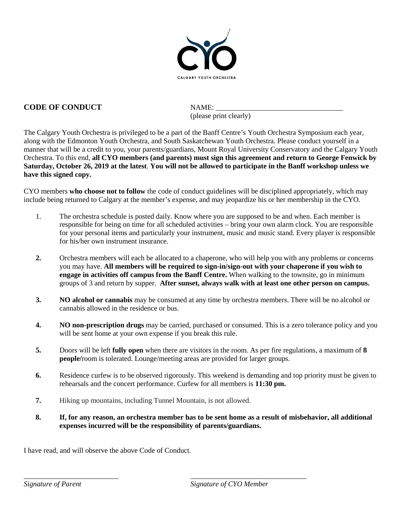

# **CODE OF CONDUCT NAME:**

(please print clearly)

The Calgary Youth Orchestra is privileged to be a part of the Banff Centre's Youth Orchestra Symposium each year, along with the Edmonton Youth Orchestra, and South Saskatchewan Youth Orchestra. Please conduct yourself in a manner that will be a credit to you, your parents/guardians, Mount Royal University Conservatory and the Calgary Youth Orchestra. To this end, **all CYO members (and parents) must sign this agreement and return to George Fenwick by Saturday, October 26, 2019 at the latest**. **You will not be allowed to participate in the Banff workshop unless we have this signed copy.** 

CYO members **who choose not to follow** the code of conduct guidelines will be disciplined appropriately, which may include being returned to Calgary at the member's expense, and may jeopardize his or her membership in the CYO.

- 1. The orchestra schedule is posted daily. Know where you are supposed to be and when. Each member is responsible for being on time for all scheduled activities – bring your own alarm clock. You are responsible for your personal items and particularly your instrument, music and music stand. Every player is responsible for his/her own instrument insurance.
- **2.** Orchestra members will each be allocated to a chaperone, who will help you with any problems or concerns you may have. **All members will be required to sign-in/sign-out with your chaperone if you wish to engage in activities off campus from the Banff Centre.** When walking to the townsite, go in minimum groups of 3 and return by supper. **After sunset, always walk with at least one other person on campus.**
- **3. NO alcohol or cannabis** may be consumed at any time by orchestra members. There will be no alcohol or cannabis allowed in the residence or bus.
- **4. NO non-prescription drugs** may be carried, purchased or consumed. This is a zero tolerance policy and you will be sent home at your own expense if you break this rule.
- **5.** Doors will be left **fully open** when there are visitors in the room. As per fire regulations, a maximum of **8 people/**room is tolerated. Lounge/meeting areas are provided for larger groups.
- **6.** Residence curfew is to be observed rigorously. This weekend is demanding and top priority must be given to rehearsals and the concert performance. Curfew for all members is **11:30 pm.**
- **7.** Hiking up mountains, including Tunnel Mountain, is not allowed.

\_\_\_\_\_\_\_\_\_\_\_\_\_\_\_\_\_\_\_\_\_\_\_\_\_\_ \_\_\_\_\_\_\_\_\_\_\_\_\_\_\_\_\_\_\_\_\_\_\_\_\_\_\_\_\_\_\_\_

**8. If, for any reason, an orchestra member has to be sent home as a result of misbehavior, all additional expenses incurred will be the responsibility of parents/guardians.**

I have read, and will observe the above Code of Conduct.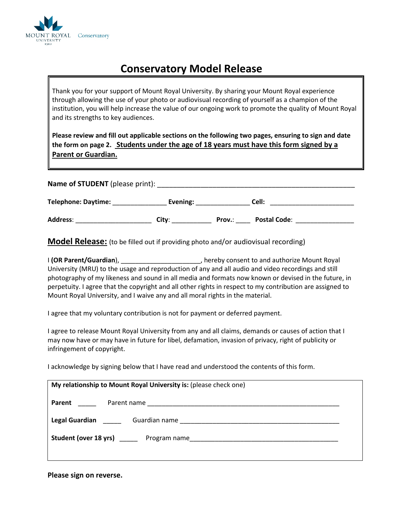

# **Conservatory Model Release**

Thank you for your support of Mount Royal University. By sharing your Mount Royal experience through allowing the use of your photo or audiovisual recording of yourself as a champion of the institution, you will help increase the value of our ongoing work to promote the quality of Mount Royal and its strengths to key audiences.

**Please review and fill out applicable sections on the following two pages, ensuring to sign and date the form on page 2. Students under the age of 18 years must have this form signed by a Parent or Guardian.**

| <b>Name of STUDENT</b> (please print): |          |        |                     |  |
|----------------------------------------|----------|--------|---------------------|--|
| <b>Telephone: Daytime:</b>             | Evening: |        | Cell:               |  |
| <b>Address:</b>                        | City:    | Prov.: | <b>Postal Code:</b> |  |

**Model Release:** (to be filled out if providing photo and/or audiovisual recording)

I **(OR Parent/Guardian**), \_\_\_\_\_\_\_\_\_\_\_\_\_\_\_\_\_\_\_\_\_\_, hereby consent to and authorize Mount Royal University (MRU) to the usage and reproduction of any and all audio and video recordings and still photography of my likeness and sound in all media and formats now known or devised in the future, in perpetuity. I agree that the copyright and all other rights in respect to my contribution are assigned to Mount Royal University, and I waive any and all moral rights in the material.

I agree that my voluntary contribution is not for payment or deferred payment.

I agree to release Mount Royal University from any and all claims, demands or causes of action that I may now have or may have in future for libel, defamation, invasion of privacy, right of publicity or infringement of copyright.

I acknowledge by signing below that I have read and understood the contents of this form.

| My relationship to Mount Royal University is: (please check one) |  |
|------------------------------------------------------------------|--|
| Parent _____                                                     |  |
| Legal Guardian _____                                             |  |
| Student (over 18 yrs) Program name                               |  |
|                                                                  |  |

**Please sign on reverse.**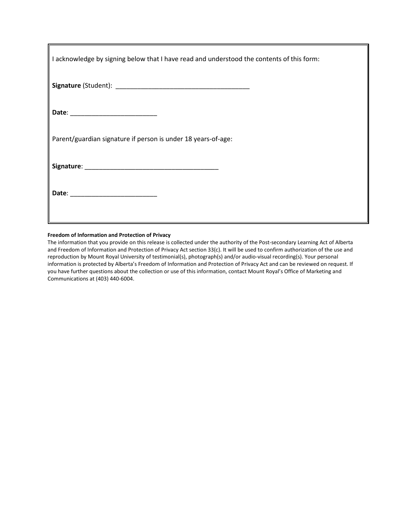| I acknowledge by signing below that I have read and understood the contents of this form: |
|-------------------------------------------------------------------------------------------|
|                                                                                           |
| Date: _____________________________                                                       |
| Parent/guardian signature if person is under 18 years-of-age:                             |
|                                                                                           |
|                                                                                           |

#### **Freedom of Information and Protection of Privacy**

The information that you provide on this release is collected under the authority of the Post-secondary Learning Act of Alberta and Freedom of Information and Protection of Privacy Act section 33(c). It will be used to confirm authorization of the use and reproduction by Mount Royal University of testimonial(s), photograph(s) and/or audio-visual recording(s). Your personal information is protected by Alberta's Freedom of Information and Protection of Privacy Act and can be reviewed on request. If you have further questions about the collection or use of this information, contact Mount Royal's Office of Marketing and Communications at (403) 440-6004.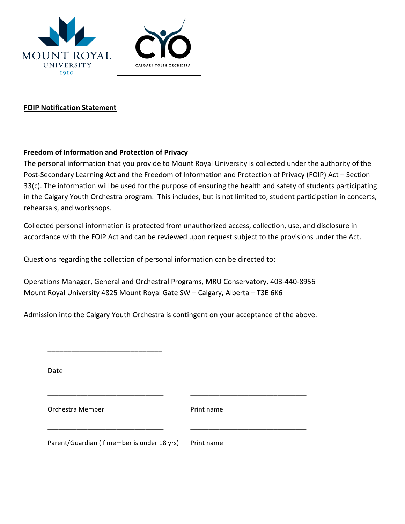



# **FOIP Notification Statement**

### **Freedom of Information and Protection of Privacy**

The personal information that you provide to Mount Royal University is collected under the authority of the Post-Secondary Learning Act and the Freedom of Information and Protection of Privacy (FOIP) Act – Section 33(c). The information will be used for the purpose of ensuring the health and safety of students participating in the Calgary Youth Orchestra program. This includes, but is not limited to, student participation in concerts, rehearsals, and workshops.

Collected personal information is protected from unauthorized access, collection, use, and disclosure in accordance with the FOIP Act and can be reviewed upon request subject to the provisions under the Act.

Questions regarding the collection of personal information can be directed to:

Operations Manager, General and Orchestral Programs, MRU Conservatory, 403-440-8956 Mount Royal University 4825 Mount Royal Gate SW – Calgary, Alberta – T3E 6K6

Admission into the Calgary Youth Orchestra is contingent on your acceptance of the above.

\_\_\_\_\_\_\_\_\_\_\_\_\_\_\_\_\_\_\_\_\_\_\_\_\_\_\_\_\_\_\_\_ \_\_\_\_\_\_\_\_\_\_\_\_\_\_\_\_\_\_\_\_\_\_\_\_\_\_\_\_\_\_\_\_

\_\_\_\_\_\_\_\_\_\_\_\_\_\_\_\_\_\_\_\_\_\_\_\_\_\_\_\_\_\_\_\_ \_\_\_\_\_\_\_\_\_\_\_\_\_\_\_\_\_\_\_\_\_\_\_\_\_\_\_\_\_\_\_\_

Date

Orchestra Member **Print name** 

\_\_\_\_\_\_\_\_\_\_\_\_\_\_\_\_\_\_\_\_\_\_\_\_\_\_\_\_\_

Parent/Guardian (if member is under 18 yrs) Print name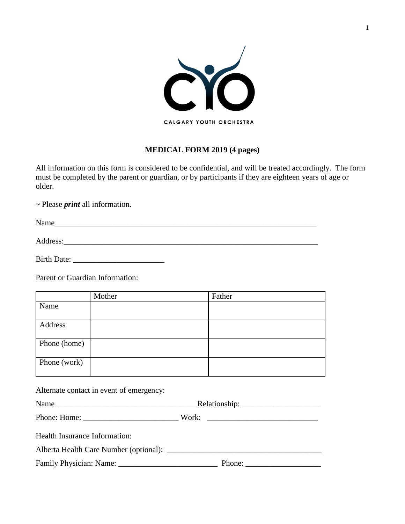

# **MEDICAL FORM 2019 (4 pages)**

All information on this form is considered to be confidential, and will be treated accordingly. The form must be completed by the parent or guardian, or by participants if they are eighteen years of age or older.

~ Please *print* all information.

Name

Address:\_\_\_\_\_\_\_\_\_\_\_\_\_\_\_\_\_\_\_\_\_\_\_\_\_\_\_\_\_\_\_\_\_\_\_\_\_\_\_\_\_\_\_\_\_\_\_\_\_\_\_\_\_\_\_\_\_\_\_\_\_\_\_\_

Birth Date: \_\_\_\_\_\_\_\_\_\_\_\_\_\_\_\_\_\_\_\_\_\_\_

Parent or Guardian Information:

|              | Mother | Father |
|--------------|--------|--------|
| Name         |        |        |
|              |        |        |
| Address      |        |        |
|              |        |        |
| Phone (home) |        |        |
| Phone (work) |        |        |

Alternate contact in event of emergency:

| <b>NT</b><br><b>Contact of the State Street</b><br><b>Nam</b> | іхетані<br>- - <del>- - - - - - - - - - -</del> |
|---------------------------------------------------------------|-------------------------------------------------|
|---------------------------------------------------------------|-------------------------------------------------|

Phone: Home: \_\_\_\_\_\_\_\_\_\_\_\_\_\_\_\_\_\_\_\_\_\_\_\_ Work: \_\_\_\_\_\_\_\_\_\_\_\_\_\_\_\_\_\_\_\_\_\_\_\_\_\_\_\_

Health Insurance Information:

Alberta Health Care Number (optional): \_\_\_\_\_\_\_\_\_\_\_\_\_\_\_\_\_\_\_\_\_\_\_\_\_\_\_\_\_\_\_\_\_\_\_\_\_\_\_

Family Physician: Name: \_\_\_\_\_\_\_\_\_\_\_\_\_\_\_\_\_\_\_\_\_\_\_\_\_ Phone: \_\_\_\_\_\_\_\_\_\_\_\_\_\_\_\_\_\_\_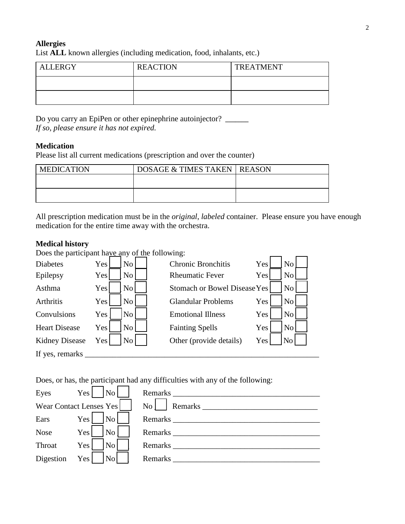# **Allergies**

List **ALL** known allergies (including medication, food, inhalants, etc.)

| <b>ALLERGY</b> | <b>REACTION</b> | <b>TREATMENT</b> |
|----------------|-----------------|------------------|
|                |                 |                  |
|                |                 |                  |

Do you carry an EpiPen or other epinephrine autoinjector? **\_\_\_\_\_\_\_** *If so, please ensure it has not expired.* 

# **Medication**

Please list all current medications (prescription and over the counter)

| <b>MEDICATION</b> | <b>DOSAGE &amp; TIMES TAKEN   REASON</b> |  |
|-------------------|------------------------------------------|--|
|                   |                                          |  |
|                   |                                          |  |
|                   |                                          |  |

All prescription medication must be in the *original*, *labeled* container. Please ensure you have enough medication for the entire time away with the orchestra.

### **Medical history**

Does the participant have any of the following:

| <b>Diabetes</b>       | No<br>Yes             | <b>Chronic Bronchitis</b>           | Yes | No             |  |
|-----------------------|-----------------------|-------------------------------------|-----|----------------|--|
| Epilepsy              | N <sub>o</sub><br>Yes | <b>Rheumatic Fever</b>              | Yes | N <sub>o</sub> |  |
| Asthma                | N <sub>0</sub><br>Yes | <b>Stomach or Bowel Disease Yes</b> |     | N <sub>o</sub> |  |
| Arthritis             | No.<br>Yes            | <b>Glandular Problems</b>           | Yes | No             |  |
| Convulsions           | No<br>Yes             | <b>Emotional Illness</b>            | Yes | N <sub>o</sub> |  |
| <b>Heart Disease</b>  | No<br>Yes             | <b>Fainting Spells</b>              | Yes | N <sub>o</sub> |  |
| <b>Kidney Disease</b> | No<br>Yes             | Other (provide details)             | Yes | No             |  |
| If yes, remarks       |                       |                                     |     |                |  |

Does, or has, the participant had any difficulties with any of the following:

| Eyes                    | $Yes$   No       |                    | Remarks                   |
|-------------------------|------------------|--------------------|---------------------------|
| Wear Contact Lenses Yes |                  |                    | Remarks<br>$\mathbb{N}_0$ |
| Ears                    | Yes              | $\vert$ No $\vert$ | Remarks                   |
| <b>Nose</b>             | Yes <sup> </sup> | No                 | <b>Remarks</b>            |
| Throat                  | Yes <sup> </sup> | $\vert$ No $\vert$ | Remarks                   |
| Digestion Yes           |                  | $\overline{N_{0}}$ | Remarks                   |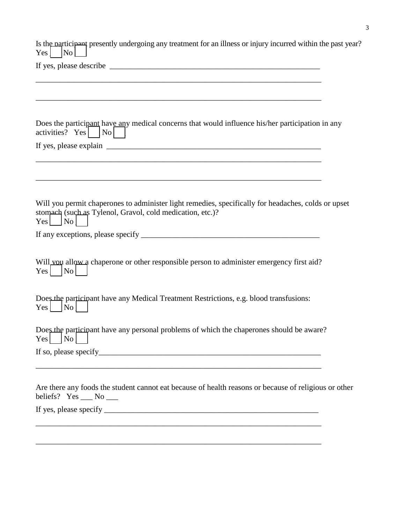Is the participant presently undergoing any treatment for an illness or injury incurred within the past year?  $Yes$   $\begin{bmatrix} \text{No} \end{bmatrix}$ 

\_\_\_\_\_\_\_\_\_\_\_\_\_\_\_\_\_\_\_\_\_\_\_\_\_\_\_\_\_\_\_\_\_\_\_\_\_\_\_\_\_\_\_\_\_\_\_\_\_\_\_\_\_\_\_\_\_\_\_\_\_\_\_\_\_\_\_\_\_\_\_\_

If yes, please describe  $\Box$ 

| Does the participant have any medical concerns that would influence his/her participation in any<br>activities? $Yes$   $No$  <br>and the control of the control of the control of the control of the control of the control of the control of the |
|----------------------------------------------------------------------------------------------------------------------------------------------------------------------------------------------------------------------------------------------------|
| Will you permit chaperones to administer light remedies, specifically for headaches, colds or upset<br>stomach (such as Tylenol, Gravol, cold medication, etc.)?<br>$Yes \mid \neg No \mid$                                                        |
| Will vou allow a chaperone or other responsible person to administer emergency first aid?<br>$Yes \mid No \mid$                                                                                                                                    |
| Does the participant have any Medical Treatment Restrictions, e.g. blood transfusions:<br>$Yes \Box No \Box$                                                                                                                                       |
| Does the participant have any personal problems of which the chaperones should be aware?<br>$\lfloor N_{0} \rfloor$<br>Yes <sub>l</sub>                                                                                                            |
| Are there any foods the student cannot eat because of health reasons or because of religious or other<br>beliefs? $Yes \_\_No \_\_$                                                                                                                |
|                                                                                                                                                                                                                                                    |

\_\_\_\_\_\_\_\_\_\_\_\_\_\_\_\_\_\_\_\_\_\_\_\_\_\_\_\_\_\_\_\_\_\_\_\_\_\_\_\_\_\_\_\_\_\_\_\_\_\_\_\_\_\_\_\_\_\_\_\_\_\_\_\_\_\_\_\_\_\_\_\_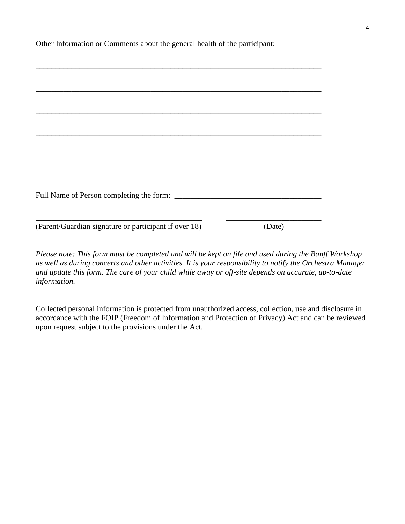Other Information or Comments about the general health of the participant:

| (Parent/Guardian signature or participant if over 18) | (Date) |
|-------------------------------------------------------|--------|

*Please note: This form must be completed and will be kept on file and used during the Banff Workshop as well as during concerts and other activities. It is your responsibility to notify the Orchestra Manager and update this form. The care of your child while away or off-site depends on accurate, up-to-date information.*

Collected personal information is protected from unauthorized access, collection, use and disclosure in accordance with the FOIP (Freedom of Information and Protection of Privacy) Act and can be reviewed upon request subject to the provisions under the Act.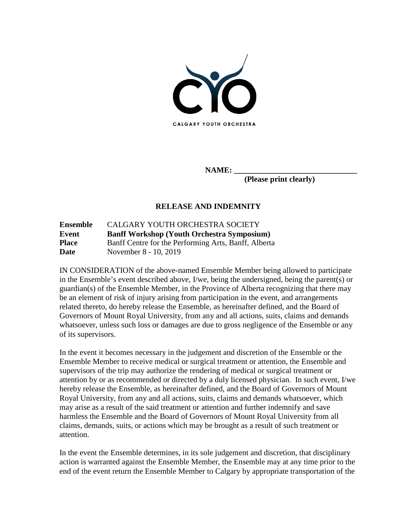

**NAME: \_\_\_\_\_\_\_\_\_\_\_\_\_\_\_\_\_\_\_\_\_\_\_\_\_\_\_\_\_\_\_**

**(Please print clearly)**

# **RELEASE AND INDEMNITY**

| Ensemble     | CALGARY YOUTH ORCHESTRA SOCIETY                      |
|--------------|------------------------------------------------------|
| Event        | <b>Banff Workshop (Youth Orchestra Symposium)</b>    |
| <b>Place</b> | Banff Centre for the Performing Arts, Banff, Alberta |
| <b>Date</b>  | November 8 - 10, 2019                                |

IN CONSIDERATION of the above-named Ensemble Member being allowed to participate in the Ensemble's event described above, I/we, being the undersigned, being the parent(s) or guardian(s) of the Ensemble Member, in the Province of Alberta recognizing that there may be an element of risk of injury arising from participation in the event, and arrangements related thereto, do hereby release the Ensemble, as hereinafter defined, and the Board of Governors of Mount Royal University, from any and all actions, suits, claims and demands whatsoever, unless such loss or damages are due to gross negligence of the Ensemble or any of its supervisors.

In the event it becomes necessary in the judgement and discretion of the Ensemble or the Ensemble Member to receive medical or surgical treatment or attention, the Ensemble and supervisors of the trip may authorize the rendering of medical or surgical treatment or attention by or as recommended or directed by a duly licensed physician. In such event, I/we hereby release the Ensemble, as hereinafter defined, and the Board of Governors of Mount Royal University, from any and all actions, suits, claims and demands whatsoever, which may arise as a result of the said treatment or attention and further indemnify and save harmless the Ensemble and the Board of Governors of Mount Royal University from all claims, demands, suits, or actions which may be brought as a result of such treatment or attention.

In the event the Ensemble determines, in its sole judgement and discretion, that disciplinary action is warranted against the Ensemble Member, the Ensemble may at any time prior to the end of the event return the Ensemble Member to Calgary by appropriate transportation of the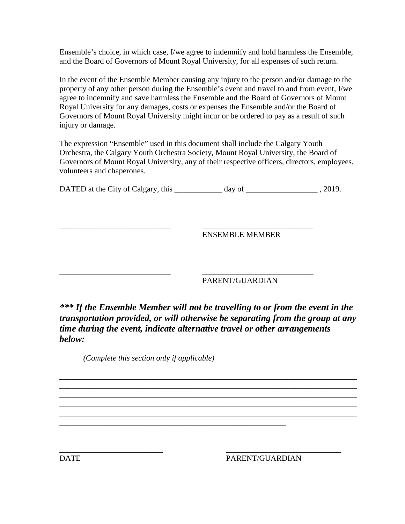Ensemble's choice, in which case, I/we agree to indemnify and hold harmless the Ensemble, and the Board of Governors of Mount Royal University, for all expenses of such return.

In the event of the Ensemble Member causing any injury to the person and/or damage to the property of any other person during the Ensemble's event and travel to and from event, I/we agree to indemnify and save harmless the Ensemble and the Board of Governors of Mount Royal University for any damages, costs or expenses the Ensemble and/or the Board of Governors of Mount Royal University might incur or be ordered to pay as a result of such injury or damage.

The expression "Ensemble" used in this document shall include the Calgary Youth Orchestra, the Calgary Youth Orchestra Society, Mount Royal University, the Board of Governors of Mount Royal University, any of their respective officers, directors, employees, volunteers and chaperones.

DATED at the City of Calgary, this \_\_\_\_\_\_\_\_\_\_\_\_ day of \_\_\_\_\_\_\_\_\_\_\_\_\_\_\_\_\_\_ , 2019.

\_\_\_\_\_\_\_\_\_\_\_\_\_\_\_\_\_\_\_\_\_\_\_\_\_\_\_\_ \_\_\_\_\_\_\_\_\_\_\_\_\_\_\_\_\_\_\_\_\_\_\_\_\_\_\_\_ ENSEMBLE MEMBER

### \_\_\_\_\_\_\_\_\_\_\_\_\_\_\_\_\_\_\_\_\_\_\_\_\_\_\_\_ \_\_\_\_\_\_\_\_\_\_\_\_\_\_\_\_\_\_\_\_\_\_\_\_\_\_\_\_ PARENT/GUARDIAN

*\*\*\* If the Ensemble Member will not be travelling to or from the event in the transportation provided, or will otherwise be separating from the group at any time during the event, indicate alternative travel or other arrangements below:*

\_\_\_\_\_\_\_\_\_\_\_\_\_\_\_\_\_\_\_\_\_\_\_\_\_\_\_\_\_\_\_\_\_\_\_\_\_\_\_\_\_\_\_\_\_\_\_\_\_\_\_\_\_\_\_\_\_\_\_\_\_\_\_\_\_\_\_\_\_\_\_\_\_\_\_ \_\_\_\_\_\_\_\_\_\_\_\_\_\_\_\_\_\_\_\_\_\_\_\_\_\_\_\_\_\_\_\_\_\_\_\_\_\_\_\_\_\_\_\_\_\_\_\_\_\_\_\_\_\_\_\_\_\_\_\_\_\_\_\_\_\_\_\_\_\_\_\_\_\_\_ \_\_\_\_\_\_\_\_\_\_\_\_\_\_\_\_\_\_\_\_\_\_\_\_\_\_\_\_\_\_\_\_\_\_\_\_\_\_\_\_\_\_\_\_\_\_\_\_\_\_\_\_\_\_\_\_\_\_\_\_\_\_\_\_\_\_\_\_\_\_\_\_\_\_\_ \_\_\_\_\_\_\_\_\_\_\_\_\_\_\_\_\_\_\_\_\_\_\_\_\_\_\_\_\_\_\_\_\_\_\_\_\_\_\_\_\_\_\_\_\_\_\_\_\_\_\_\_\_\_\_\_\_\_\_\_\_\_\_\_\_\_\_\_\_\_\_\_\_\_\_ \_\_\_\_\_\_\_\_\_\_\_\_\_\_\_\_\_\_\_\_\_\_\_\_\_\_\_\_\_\_\_\_\_\_\_\_\_\_\_\_\_\_\_\_\_\_\_\_\_\_\_\_\_\_\_\_\_\_\_\_\_\_\_\_\_\_\_\_\_\_\_\_\_\_\_

*(Complete this section only if applicable)*

\_\_\_\_\_\_\_\_\_\_\_\_\_\_\_\_\_\_\_\_\_\_\_\_\_\_\_\_\_\_\_\_\_\_\_\_\_\_\_\_\_\_\_\_\_\_\_\_\_\_\_\_\_\_\_\_\_

\_\_\_\_\_\_\_\_\_\_\_\_\_\_\_\_\_\_\_\_\_\_\_\_\_\_ \_\_\_\_\_\_\_\_\_\_\_\_\_\_\_\_\_\_\_\_\_\_\_\_\_\_\_\_\_ DATE PARENT/GUARDIAN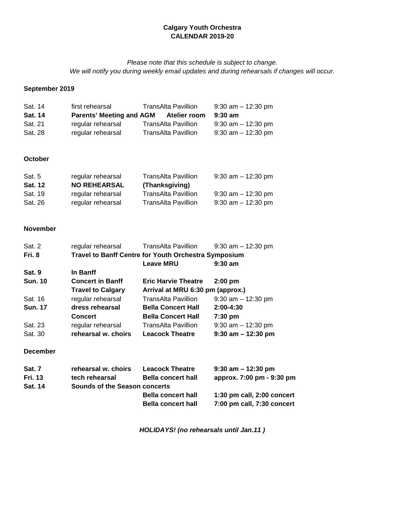# **Calgary Youth Orchestra CALENDAR 2019-20**

### *Please note that this schedule is subject to change. We will notify you during weekly email updates and during rehearsals if changes will occur.*

# **September 2019**

| Sat. 14        | first rehearsal                 | TransAlta Pavillion        | $9:30$ am $-12:30$ pm |
|----------------|---------------------------------|----------------------------|-----------------------|
| <b>Sat. 14</b> | <b>Parents' Meeting and AGM</b> | Atelier room               | $9:30 \text{ am}$     |
| Sat. 21        | regular rehearsal               | <b>TransAlta Pavillion</b> | $9:30$ am $-12:30$ pm |
| Sat. 28        | regular rehearsal               | <b>TransAlta Pavillion</b> | $9:30$ am $-12:30$ pm |

#### **October**

| Sat. 5         | regular rehearsal   | <b>TransAlta Pavillion</b> | $9:30$ am $-12:30$ pm |
|----------------|---------------------|----------------------------|-----------------------|
| <b>Sat. 12</b> | <b>NO REHEARSAL</b> | (Thanksgiving)             |                       |
| Sat. 19        | regular rehearsal   | <b>TransAlta Pavillion</b> | $9:30$ am $-12:30$ pm |
| Sat. 26        | regular rehearsal   | <b>TransAlta Pavillion</b> | $9:30$ am $-12:30$ pm |

#### **November**

| Sat. 2         | regular rehearsal        | <b>TransAlta Pavillion</b>                                  | $9:30$ am $-12:30$ pm |  |
|----------------|--------------------------|-------------------------------------------------------------|-----------------------|--|
| Fri. 8         |                          | <b>Travel to Banff Centre for Youth Orchestra Symposium</b> |                       |  |
|                |                          | <b>Leave MRU</b>                                            | $9:30$ am             |  |
| Sat. 9         | In Banff                 |                                                             |                       |  |
| <b>Sun. 10</b> | <b>Concert in Banff</b>  | <b>Eric Harvie Theatre</b>                                  | $2:00$ pm             |  |
|                | <b>Travel to Calgary</b> | Arrival at MRU 6:30 pm (approx.)                            |                       |  |
| Sat. 16        | regular rehearsal        | <b>TransAlta Pavillion</b>                                  | $9:30$ am $-12:30$ pm |  |
| <b>Sun. 17</b> | dress rehearsal          | <b>Bella Concert Hall</b>                                   | $2:00-4:30$           |  |
|                | <b>Concert</b>           | <b>Bella Concert Hall</b>                                   | 7:30 pm               |  |
| Sat. 23        | regular rehearsal        | <b>TransAlta Pavillion</b>                                  | $9:30$ am $-12:30$ pm |  |
| Sat. 30        | rehearsal w. choirs      | <b>Leacock Theatre</b>                                      | $9:30$ am $-12:30$ pm |  |

#### **December**

| <b>Sat. 7</b>  | rehearsal w. choirs           | <b>Leacock Theatre</b>    | $9:30$ am $-12:30$ pm          |
|----------------|-------------------------------|---------------------------|--------------------------------|
| <b>Fri. 13</b> | tech rehearsal                | <b>Bella concert hall</b> | approx. 7:00 pm - 9:30 pm      |
| <b>Sat. 14</b> | Sounds of the Season concerts |                           |                                |
|                |                               | <b>Bella concert hall</b> | $1:30$ pm call, $2:00$ concert |
|                |                               | <b>Bella concert hall</b> | 7:00 pm call, 7:30 concert     |

*HOLIDAYS! (no rehearsals until Jan.11 )*